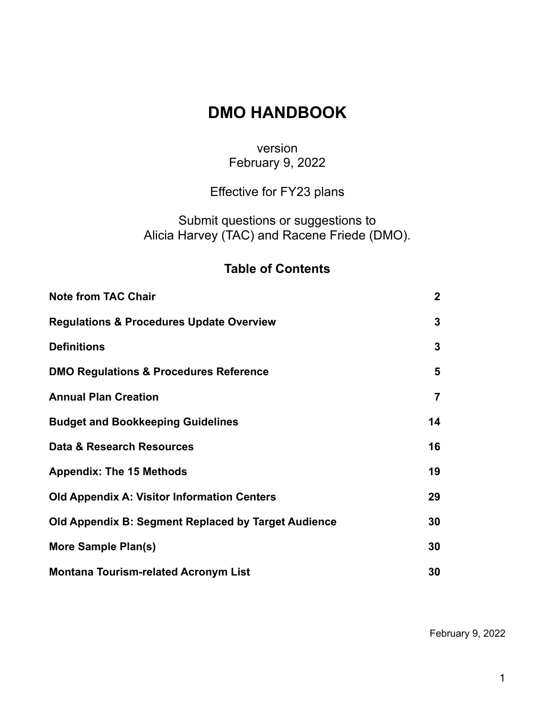# **DMO HANDBOOK**

## version February 9, 2022

# Effective for FY23 plans

Submit questions or suggestions to Alicia Harvey (TAC) and Racene Friede (DMO).

## **Table of Contents**

| <b>Note from TAC Chair</b>                          | 2 <sup>1</sup> |
|-----------------------------------------------------|----------------|
| <b>Regulations &amp; Procedures Update Overview</b> | 3              |
| <b>Definitions</b>                                  | 3              |
| <b>DMO Regulations &amp; Procedures Reference</b>   | 5              |
| <b>Annual Plan Creation</b>                         | 7              |
| <b>Budget and Bookkeeping Guidelines</b>            | 14             |
| Data & Research Resources                           | 16             |
| <b>Appendix: The 15 Methods</b>                     | 19             |
| <b>Old Appendix A: Visitor Information Centers</b>  | 29             |
| Old Appendix B: Segment Replaced by Target Audience | 30             |
| More Sample Plan(s)                                 | 30             |
| <b>Montana Tourism-related Acronym List</b>         | 30             |

February 9, 2022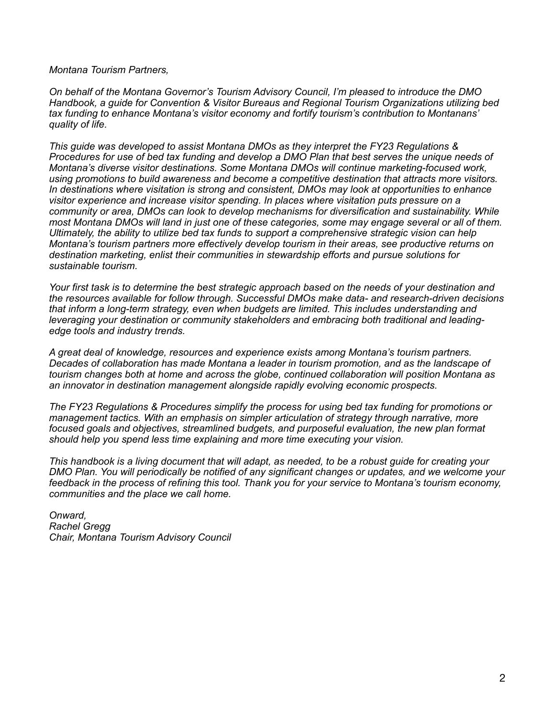*Montana Tourism Partners,*

*On behalf of the Montana Governor's Tourism Advisory Council, I'm pleased to introduce the DMO Handbook, a guide for Convention & Visitor Bureaus and Regional Tourism Organizations utilizing bed tax funding to enhance Montana's visitor economy and fortify tourism's contribution to Montanans' quality of life.*

*This guide was developed to assist Montana DMOs as they interpret the FY23 Regulations & Procedures for use of bed tax funding and develop a DMO Plan that best serves the unique needs of Montana's diverse visitor destinations. Some Montana DMOs will continue marketing-focused work, using promotions to build awareness and become a competitive destination that attracts more visitors. In destinations where visitation is strong and consistent, DMOs may look at opportunities to enhance visitor experience and increase visitor spending. In places where visitation puts pressure on a community or area, DMOs can look to develop mechanisms for diversification and sustainability. While most Montana DMOs will land in just one of these categories, some may engage several or all of them. Ultimately, the ability to utilize bed tax funds to support a comprehensive strategic vision can help Montana's tourism partners more effectively develop tourism in their areas, see productive returns on destination marketing, enlist their communities in stewardship efforts and pursue solutions for sustainable tourism.*

*Your first task is to determine the best strategic approach based on the needs of your destination and the resources available for follow through. Successful DMOs make data- and research-driven decisions that inform a long-term strategy, even when budgets are limited. This includes understanding and leveraging your destination or community stakeholders and embracing both traditional and leadingedge tools and industry trends.* 

*A great deal of knowledge, resources and experience exists among Montana's tourism partners. Decades of collaboration has made Montana a leader in tourism promotion, and as the landscape of tourism changes both at home and across the globe, continued collaboration will position Montana as an innovator in destination management alongside rapidly evolving economic prospects.*

*The FY23 Regulations & Procedures simplify the process for using bed tax funding for promotions or management tactics. With an emphasis on simpler articulation of strategy through narrative, more focused goals and objectives, streamlined budgets, and purposeful evaluation, the new plan format should help you spend less time explaining and more time executing your vision.*

*This handbook is a living document that will adapt, as needed, to be a robust guide for creating your DMO Plan. You will periodically be notified of any significant changes or updates, and we welcome your feedback in the process of refining this tool. Thank you for your service to Montana's tourism economy, communities and the place we call home.*

*Onward, Rachel Gregg Chair, Montana Tourism Advisory Council*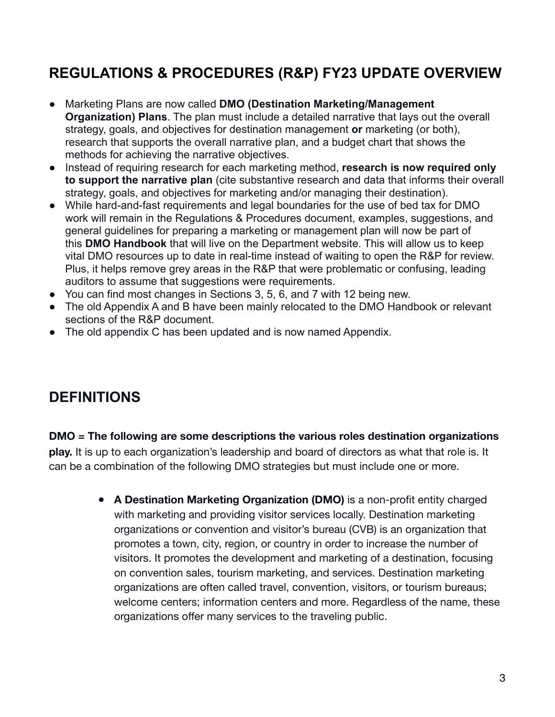# **REGULATIONS & PROCEDURES (R&P) FY23 UPDATE OVERVIEW**

- Marketing Plans are now called **DMO (Destination Marketing/Management Organization) Plans**. The plan must include a detailed narrative that lays out the overall strategy, goals, and objectives for destination management **or** marketing (or both), research that supports the overall narrative plan, and a budget chart that shows the methods for achieving the narrative objectives.
- Instead of requiring research for each marketing method, **research is now required only to support the narrative plan** (cite substantive research and data that informs their overall strategy, goals, and objectives for marketing and/or managing their destination).
- While hard-and-fast requirements and legal boundaries for the use of bed tax for DMO work will remain in the Regulations & Procedures document, examples, suggestions, and general guidelines for preparing a marketing or management plan will now be part of this **DMO Handbook** that will live on the Department website. This will allow us to keep vital DMO resources up to date in real-time instead of waiting to open the R&P for review. Plus, it helps remove grey areas in the R&P that were problematic or confusing, leading auditors to assume that suggestions were requirements.
- You can find most changes in Sections 3, 5, 6, and 7 with 12 being new.
- The old Appendix A and B have been mainly relocated to the DMO Handbook or relevant sections of the R&P document.
- The old appendix C has been updated and is now named Appendix.

# **DEFINITIONS**

**DMO = The following are some descriptions the various roles destination organizations play.** It is up to each organization's leadership and board of directors as what that role is. It can be a combination of the following DMO strategies but must include one or more.

> ● **A Destination Marketing Organization (DMO)** is a non-profit entity charged with marketing and providing visitor services locally. Destination marketing organizations or convention and visitor's bureau (CVB) is an organization that promotes a town, city, region, or country in order to increase the number of visitors. It promotes the development and marketing of a destination, focusing on convention sales, tourism marketing, and services. Destination marketing organizations are often called travel, convention, visitors, or tourism bureaus; welcome centers; information centers and more. Regardless of the name, these organizations offer many services to the traveling public.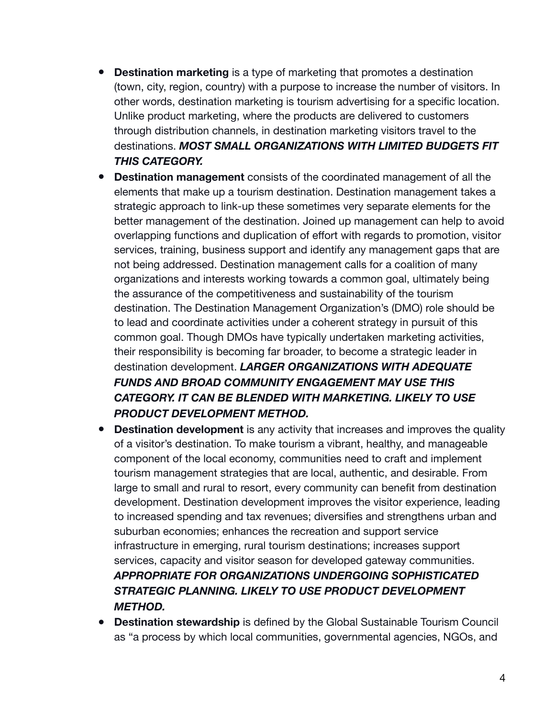- **Destination marketing** is a type of marketing that promotes a destination (town, city, region, country) with a purpose to increase the number of visitors. In other words, destination marketing is tourism advertising for a specific location. Unlike product marketing, where the products are delivered to customers through distribution channels, in destination marketing visitors travel to the destinations. *MOST SMALL ORGANIZATIONS WITH LIMITED BUDGETS FIT THIS CATEGORY.*
- **Destination management** consists of the coordinated management of all the elements that make up a tourism destination. Destination management takes a strategic approach to link-up these sometimes very separate elements for the better management of the destination. Joined up management can help to avoid overlapping functions and duplication of effort with regards to promotion, visitor services, training, business support and identify any management gaps that are not being addressed. Destination management calls for a coalition of many organizations and interests working towards a common goal, ultimately being the assurance of the competitiveness and sustainability of the tourism destination. The Destination Management Organization's (DMO) role should be to lead and coordinate activities under a coherent strategy in pursuit of this common goal. Though DMOs have typically undertaken marketing activities, their responsibility is becoming far broader, to become a strategic leader in destination development. *LARGER ORGANIZATIONS WITH ADEQUATE FUNDS AND BROAD COMMUNITY ENGAGEMENT MAY USE THIS CATEGORY. IT CAN BE BLENDED WITH MARKETING. LIKELY TO USE PRODUCT DEVELOPMENT METHOD.*
- **Destination development** is any activity that increases and improves the quality of a visitor's destination. To make tourism a vibrant, healthy, and manageable component of the local economy, communities need to craft and implement tourism management strategies that are local, authentic, and desirable. From large to small and rural to resort, every community can benefit from destination development. Destination development improves the visitor experience, leading to increased spending and tax revenues; diversifies and strengthens urban and suburban economies; enhances the recreation and support service infrastructure in emerging, rural tourism destinations; increases support services, capacity and visitor season for developed gateway communities. *APPROPRIATE FOR ORGANIZATIONS UNDERGOING SOPHISTICATED STRATEGIC PLANNING. LIKELY TO USE PRODUCT DEVELOPMENT METHOD.*
- **Destination stewardship** is defined by the Global Sustainable Tourism Council as "a process by which local communities, governmental agencies, NGOs, and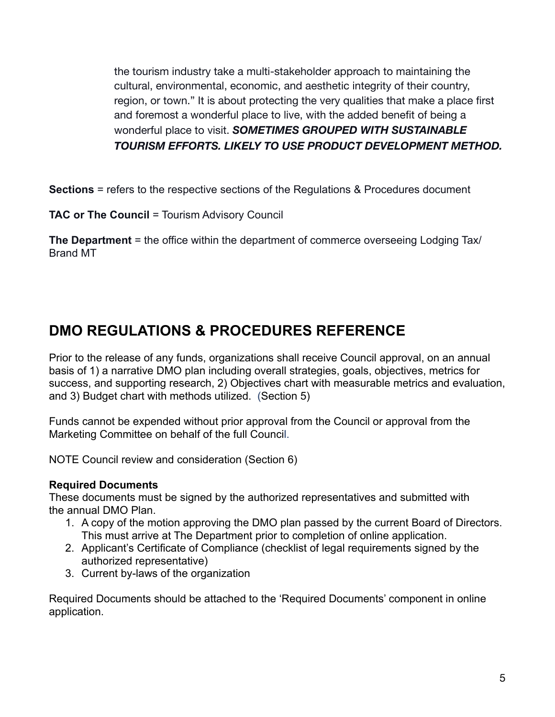the tourism industry take a multi-stakeholder approach to maintaining the cultural, environmental, economic, and aesthetic integrity of their country, region, or town." It is about protecting the very qualities that make a place first and foremost a wonderful place to live, with the added benefit of being a wonderful place to visit. *SOMETIMES GROUPED WITH SUSTAINABLE TOURISM EFFORTS. LIKELY TO USE PRODUCT DEVELOPMENT METHOD.*

**Sections** = refers to the respective sections of the Regulations & Procedures document

**TAC or The Council = Tourism Advisory Council** 

**The Department** = the office within the department of commerce overseeing Lodging Tax/ Brand MT

# **DMO REGULATIONS & PROCEDURES REFERENCE**

Prior to the release of any funds, organizations shall receive Council approval, on an annual basis of 1) a narrative DMO plan including overall strategies, goals, objectives, metrics for success, and supporting research, 2) Objectives chart with measurable metrics and evaluation, and 3) Budget chart with methods utilized. (Section 5)

Funds cannot be expended without prior approval from the Council or approval from the Marketing Committee on behalf of the full Council.

NOTE Council review and consideration (Section 6)

#### **Required Documents**

These documents must be signed by the authorized representatives and submitted with the annual DMO Plan.

- 1. A copy of the motion approving the DMO plan passed by the current Board of Directors. This must arrive at The Department prior to completion of online application.
- 2. Applicant's Certificate of Compliance (checklist of legal requirements signed by the authorized representative)
- 3. Current by-laws of the organization

Required Documents should be attached to the 'Required Documents' component in online application.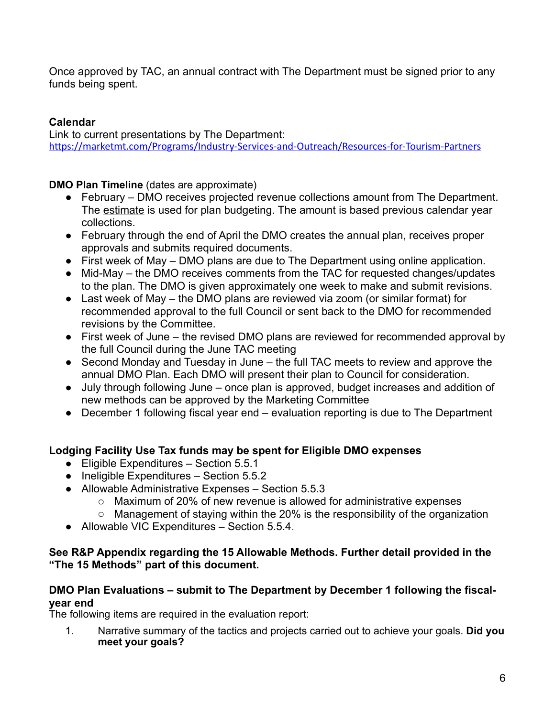Once approved by TAC, an annual contract with The Department must be signed prior to any funds being spent.

#### **Calendar**

Link to current presentations by The Department: <https://marketmt.com/Programs/Industry-Services-and-Outreach/Resources-for-Tourism-Partners>

**DMO Plan Timeline** (dates are approximate)

- February DMO receives projected revenue collections amount from The Department. The estimate is used for plan budgeting. The amount is based previous calendar year collections.
- February through the end of April the DMO creates the annual plan, receives proper approvals and submits required documents.
- First week of May DMO plans are due to The Department using online application.
- Mid-May the DMO receives comments from the TAC for requested changes/updates to the plan. The DMO is given approximately one week to make and submit revisions.
- Last week of May the DMO plans are reviewed via zoom (or similar format) for recommended approval to the full Council or sent back to the DMO for recommended revisions by the Committee.
- First week of June the revised DMO plans are reviewed for recommended approval by the full Council during the June TAC meeting
- Second Monday and Tuesday in June the full TAC meets to review and approve the annual DMO Plan. Each DMO will present their plan to Council for consideration.
- July through following June once plan is approved, budget increases and addition of new methods can be approved by the Marketing Committee
- December 1 following fiscal year end evaluation reporting is due to The Department

#### **Lodging Facility Use Tax funds may be spent for Eligible DMO expenses**

- Eligible Expenditures Section 5.5.1
- Ineligible Expenditures Section 5.5.2
- Allowable Administrative Expenses Section 5.5.3
	- o Maximum of 20% of new revenue is allowed for administrative expenses
	- o Management of staying within the 20% is the responsibility of the organization
- Allowable VIC Expenditures Section 5.5.4.

#### **See R&P Appendix regarding the 15 Allowable Methods. Further detail provided in the "The 15 Methods" part of this document.**

#### **DMO Plan Evaluations – submit to The Department by December 1 following the fiscalyear end**

The following items are required in the evaluation report:

1. Narrative summary of the tactics and projects carried out to achieve your goals. **Did you meet your goals?**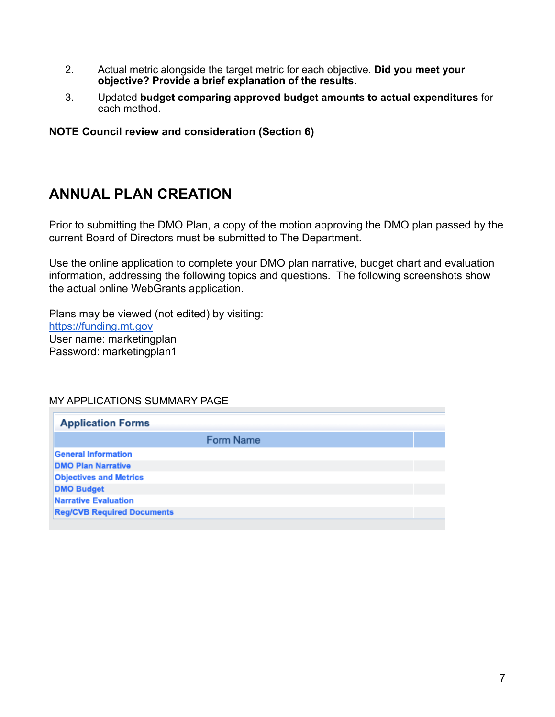- 2. Actual metric alongside the target metric for each objective. **Did you meet your objective? Provide a brief explanation of the results.**
- 3. Updated **budget comparing approved budget amounts to actual expenditures** for each method.

**NOTE Council review and consideration (Section 6)**

## **ANNUAL PLAN CREATION**

Prior to submitting the DMO Plan, a copy of the motion approving the DMO plan passed by the current Board of Directors must be submitted to The Department.

Use the online application to complete your DMO plan narrative, budget chart and evaluation information, addressing the following topics and questions. The following screenshots show the actual online WebGrants application.

Plans may be viewed (not edited) by visiting: <https://funding.mt.gov> User name: marketingplan Password: marketingplan1

#### MY APPLICATIONS SUMMARY PAGE

| <b>Form Name</b> |  |
|------------------|--|
|                  |  |
|                  |  |
|                  |  |
|                  |  |
|                  |  |
|                  |  |
|                  |  |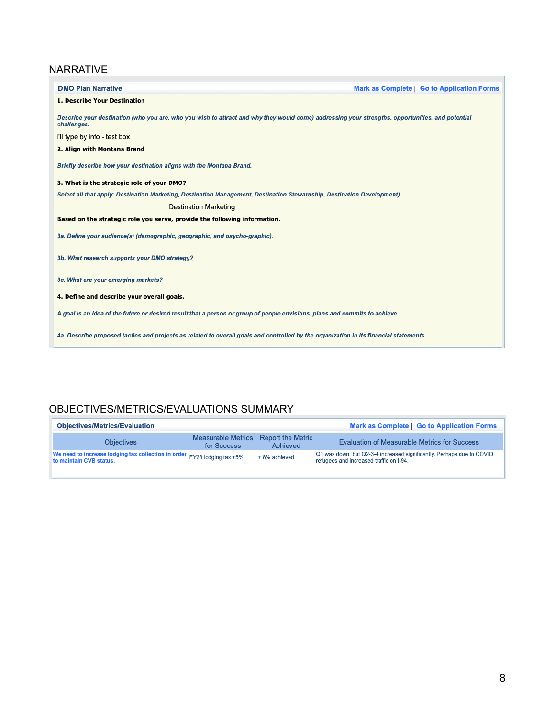#### NARRATIVE

| <b>DMO Plan Narrative</b><br><b>Mark as Complete   Go to Application Forms</b>                                                                                  |
|-----------------------------------------------------------------------------------------------------------------------------------------------------------------|
| 1. Describe Your Destination                                                                                                                                    |
| Describe your destination (who you are, who you wish to attract and why they would come) addressing your strengths, opportunities, and potential<br>challenges. |
| i'll type by info - test box                                                                                                                                    |
| 2. Align with Montana Brand                                                                                                                                     |
| Briefly describe how your destination aligns with the Montana Brand.                                                                                            |
| 3. What is the strategic role of your DMO?                                                                                                                      |
| Select all that apply: Destination Marketing, Destination Management, Destination Stewardship, Destination Development).                                        |
| <b>Destination Marketing</b>                                                                                                                                    |
| Based on the strategic role you serve, provide the following information.                                                                                       |
| 3a. Define your audience(s) (demographic, geographic, and psycho-graphic).                                                                                      |
| 3b. What research supports your DMO strategy?                                                                                                                   |
| 3c. What are your emerging markets?                                                                                                                             |
| 4. Define and describe your overall goals.                                                                                                                      |
| A goal is an idea of the future or desired result that a person or group of people envisions, plans and commits to achieve.                                     |
| 4a. Describe proposed tactics and projects as related to overall goals and controlled by the organization in its financial statements.                          |

### OBJECTIVES/METRICS/EVALUATIONS SUMMARY

| <b>Objectives/Metrics/Evaluation</b>                                                                |                                          |                                      | <b>Mark as Complete   Go to Application Forms</b>                                                                |
|-----------------------------------------------------------------------------------------------------|------------------------------------------|--------------------------------------|------------------------------------------------------------------------------------------------------------------|
| <b>Objectives</b>                                                                                   | <b>Measurable Metrics</b><br>for Success | <b>Report the Metric</b><br>Achieved | <b>Evaluation of Measurable Metrics for Success</b>                                                              |
| We need to increase lodging tax collection in order FY23 lodging tax +5%<br>to maintain CVB status. |                                          | + 8% achieved                        | Q1 was down, but Q2-3-4 increased significantly. Perhaps due to COVID<br>refugees and increased traffic on I-94. |
|                                                                                                     |                                          |                                      |                                                                                                                  |

 $\Box$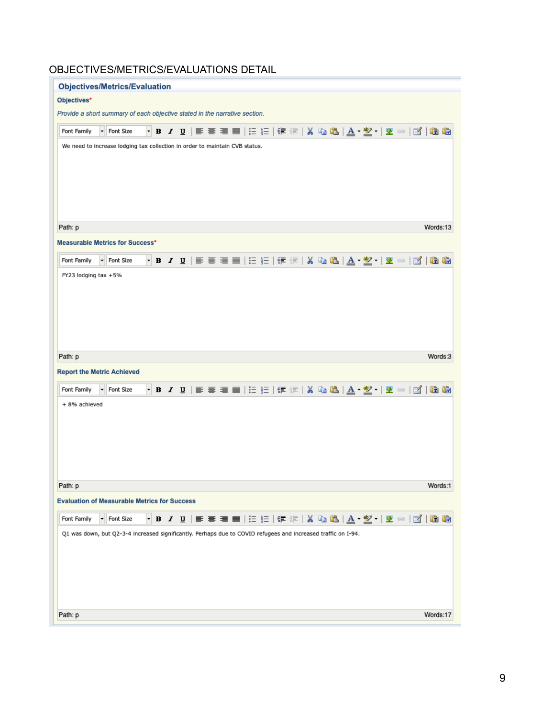### OBJECTIVES/METRICS/EVALUATIONS DETAIL

| <b>Objectives/Metrics/Evaluation</b>                                                                                                   |
|----------------------------------------------------------------------------------------------------------------------------------------|
| Objectives*                                                                                                                            |
| Provide a short summary of each objective stated in the narrative section.                                                             |
| Font Family<br>Font Size<br>学习<br>鱼的<br>$\mathbb{R}$                                                                                   |
| We need to increase lodging tax collection in order to maintain CVB status.                                                            |
|                                                                                                                                        |
|                                                                                                                                        |
|                                                                                                                                        |
|                                                                                                                                        |
| Path: p<br>Words:13                                                                                                                    |
| <b>Measurable Metrics for Success*</b>                                                                                                 |
| ▾ <b>B</b> / U │ ≣ ≣ ≣ ≣ │ ⊟ ⊟ │ ⊟ │ ⊈ ≡ │ ¼ ப ப ப │ ▲ ・ <mark>��</mark> ・ │ 坐 ∞ │ <mark>:4</mark> │<br>Font Family<br>Font Size<br>鱼的 |
| FY23 lodging tax +5%                                                                                                                   |
|                                                                                                                                        |
|                                                                                                                                        |
|                                                                                                                                        |
|                                                                                                                                        |
|                                                                                                                                        |
| Words:3<br>Path: p                                                                                                                     |
| <b>Report the Metric Achieved</b>                                                                                                      |
| <mark>, B / U</mark>   ≣ ≣ ≣   ≣   ¦E }E   ∉ ∉   X Q Q <mark>  A · *</mark> 2 ·  <br>Font Family<br>Font Size<br>鱼像<br>堡<br>63<br>$-4$ |
| + 8% achieved                                                                                                                          |
|                                                                                                                                        |
|                                                                                                                                        |
|                                                                                                                                        |
|                                                                                                                                        |
| Path: p<br>Words:1                                                                                                                     |
| <b>Evaluation of Measurable Metrics for Success</b>                                                                                    |
| Font Size<br>Font Family                                                                                                               |
| Q1 was down, but Q2-3-4 increased significantly. Perhaps due to COVID refugees and increased traffic on I-94.                          |
|                                                                                                                                        |
|                                                                                                                                        |
|                                                                                                                                        |
|                                                                                                                                        |
| Words:17<br>Path: p                                                                                                                    |
|                                                                                                                                        |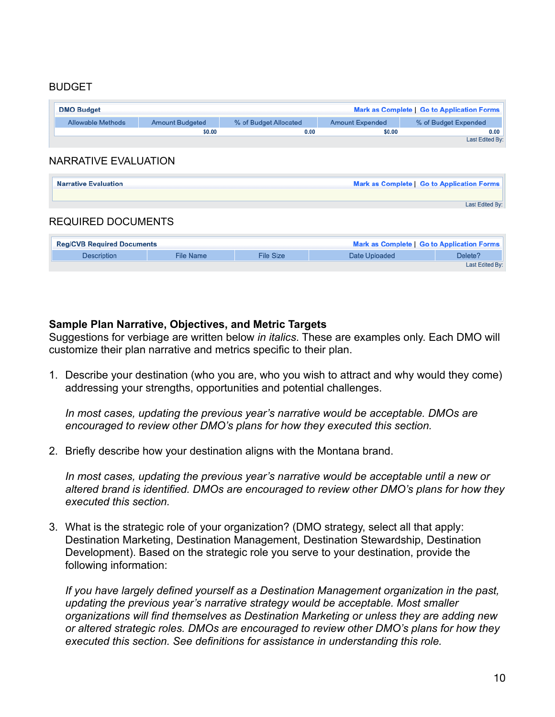#### BUDGET

| <b>DMO Budget</b>        |                        |                       |                        | Mark as Complete   Go to Application Forms |
|--------------------------|------------------------|-----------------------|------------------------|--------------------------------------------|
| <b>Allowable Methods</b> | <b>Amount Budgeted</b> | % of Budget Allocated | <b>Amount Expended</b> | % of Budget Expended                       |
|                          | \$0.00                 | 0.00                  | \$0.00                 | 0.00                                       |
|                          |                        |                       |                        | Last Edited By:                            |

#### NARRATIVE EVALUATION

| <b>Narrative Evaluation</b> | <b>Mark as Complete   Go to Application Forms</b> |
|-----------------------------|---------------------------------------------------|
|                             |                                                   |
|                             | Last Edited By:                                   |
| DEALUDED DAALIMENTS         |                                                   |

# REQUIRED DOCUMENTS

| <b>Reg/CVB Required Documents</b> | Mark as Complete   Go to Application Forms |                  |               |         |
|-----------------------------------|--------------------------------------------|------------------|---------------|---------|
| <b>Description</b>                | <b>File Name</b>                           | <b>File Size</b> | Date Uploaded | Delete? |
| Last Edited By:                   |                                            |                  |               |         |

#### **Sample Plan Narrative, Objectives, and Metric Targets**

Suggestions for verbiage are written below *in italics*. These are examples only. Each DMO will customize their plan narrative and metrics specific to their plan.

1. Describe your destination (who you are, who you wish to attract and why would they come) addressing your strengths, opportunities and potential challenges.

*In most cases, updating the previous year's narrative would be acceptable. DMOs are encouraged to review other DMO's plans for how they executed this section.*

2. Briefly describe how your destination aligns with the Montana brand.

In most cases, updating the previous year's narrative would be acceptable until a new or *altered brand is identified. DMOs are encouraged to review other DMO's plans for how they executed this section.*

3. What is the strategic role of your organization? (DMO strategy, select all that apply: Destination Marketing, Destination Management, Destination Stewardship, Destination Development). Based on the strategic role you serve to your destination, provide the following information:

*If you have largely defined yourself as a Destination Management organization in the past, updating the previous year's narrative strategy would be acceptable. Most smaller organizations will find themselves as Destination Marketing or unless they are adding new or altered strategic roles. DMOs are encouraged to review other DMO's plans for how they executed this section. See definitions for assistance in understanding this role.*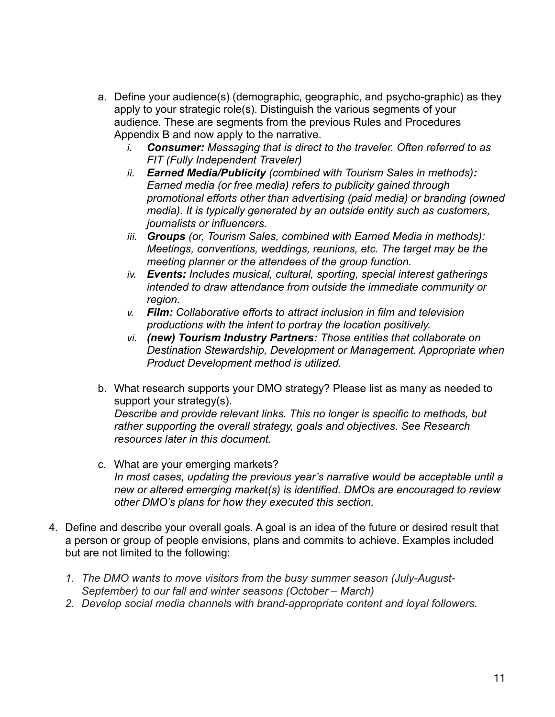- a. Define your audience(s) (demographic, geographic, and psycho-graphic) as they apply to your strategic role(s). Distinguish the various segments of your audience. These are segments from the previous Rules and Procedures Appendix B and now apply to the narrative.
	- *i. Consumer: Messaging that is direct to the traveler. Often referred to as FIT (Fully Independent Traveler)*
	- *ii. Earned Media/Publicity (combined with Tourism Sales in methods): Earned media (or free media) refers to publicity gained through promotional efforts other than advertising [\(paid media](https://en.wikipedia.org/wiki/Advertising)) or branding (owned media). It is typically generated by an outside entity such as customers, journalists or influencers.*
	- *iii. Groups (or, Tourism Sales, combined with Earned Media in methods): Meetings, conventions, weddings, reunions, etc. The target may be the meeting planner or the attendees of the group function.*
	- *iv. Events: Includes musical, cultural, sporting, special interest gatherings intended to draw attendance from outside the immediate community or region.*
	- *v. Film: Collaborative efforts to attract inclusion in film and television productions with the intent to portray the location positively.*
	- *vi. (new) Tourism Industry Partners: Those entities that collaborate on Destination Stewardship, Development or Management. Appropriate when Product Development method is utilized.*
- b. What research supports your DMO strategy? Please list as many as needed to support your strategy(s). *Describe and provide relevant links. This no longer is specific to methods, but rather supporting the overall strategy, goals and objectives. See Research resources later in this document.*
- c. What are your emerging markets? *In most cases, updating the previous year's narrative would be acceptable until a new or altered emerging market(s) is identified. DMOs are encouraged to review other DMO's plans for how they executed this section.*
- 4. Define and describe your overall goals. A goal is an idea of the future or desired result that a person or group of people envisions, plans and commits to achieve. Examples included but are not limited to the following:
	- *1. The DMO wants to move visitors from the busy summer season (July-August-September) to our fall and winter seasons (October – March)*
	- *2. Develop social media channels with brand-appropriate content and loyal followers.*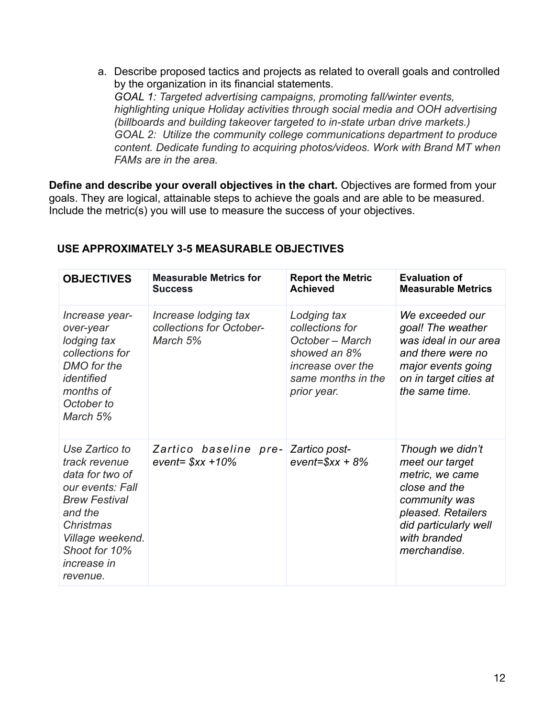a. Describe proposed tactics and projects as related to overall goals and controlled by the organization in its financial statements. *GOAL 1: Targeted advertising campaigns, promoting fall/winter events, highlighting unique Holiday activities through social media and OOH advertising (billboards and building takeover targeted to in-state urban drive markets.) GOAL 2: Utilize the community college communications department to produce content. Dedicate funding to acquiring photos/videos. Work with Brand MT when FAMs are in the area.*

**Define and describe your overall objectives in the chart.** Objectives are formed from your goals. They are logical, attainable steps to achieve the goals and are able to be measured. Include the metric(s) you will use to measure the success of your objectives.

| <b>OBJECTIVES</b>                                                                                                                                                                                    | <b>Measurable Metrics for</b><br><b>Success</b>              | <b>Report the Metric</b><br><b>Achieved</b>                                                                                 | <b>Evaluation of</b><br><b>Measurable Metrics</b>                                                                                                                       |
|------------------------------------------------------------------------------------------------------------------------------------------------------------------------------------------------------|--------------------------------------------------------------|-----------------------------------------------------------------------------------------------------------------------------|-------------------------------------------------------------------------------------------------------------------------------------------------------------------------|
| Increase year-<br>over-year<br>lodging tax<br>collections for<br>DMO for the<br>identified<br>months of<br>October to<br>March 5%                                                                    | Increase lodging tax<br>collections for October-<br>March 5% | Lodging tax<br>collections for<br>October – March<br>showed an 8%<br>increase over the<br>same months in the<br>prior year. | We exceeded our<br>goal! The weather<br>was ideal in our area<br>and there were no<br>major events going<br>on in target cities at<br>the same time.                    |
| Use Zartico to<br>track revenue<br>data for two of<br>our events: Fall<br><b>Brew Festival</b><br>and the<br><b>Christmas</b><br>Village weekend.<br>Shoot for 10%<br><i>increase in</i><br>revenue. | Zartico baseline pre- Zartico post-<br>event= $$xx +10\%$    | $event=$ $x + 8$ %                                                                                                          | Though we didn't<br>meet our target<br>metric, we came<br>close and the<br>community was<br>pleased. Retailers<br>did particularly well<br>with branded<br>merchandise. |

#### **USE APPROXIMATELY 3-5 MEASURABLE OBJECTIVES**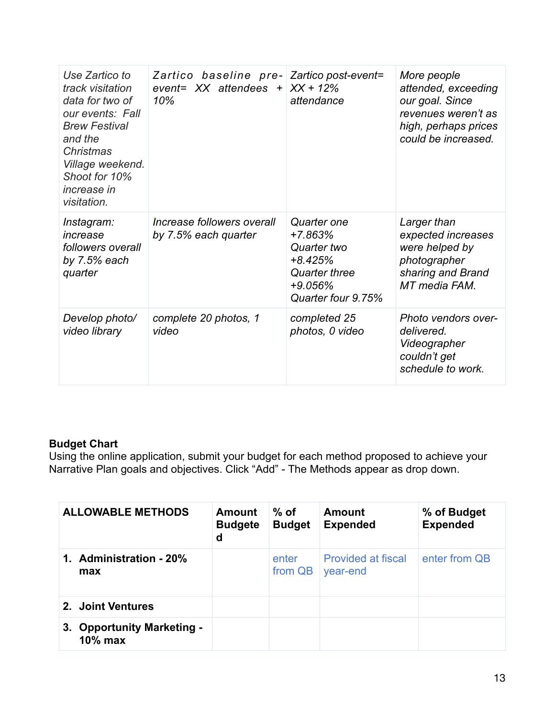| Use Zartico to<br>track visitation<br>data for two of<br>our events: Fall<br><b>Brew Festival</b><br>and the<br>Christmas<br>Village weekend.<br>Shoot for 10%<br><i>increase in</i><br>visitation. | Zartico baseline pre- Zartico post-event=<br>event= $XX$ attendees + $XX + 12\%$<br>10% | attendance                                                                                             | More people<br>attended, exceeding<br>our goal. Since<br>revenues weren't as<br>high, perhaps prices<br>could be increased. |
|-----------------------------------------------------------------------------------------------------------------------------------------------------------------------------------------------------|-----------------------------------------------------------------------------------------|--------------------------------------------------------------------------------------------------------|-----------------------------------------------------------------------------------------------------------------------------|
| Instagram:<br>increase<br>followers overall<br>by $7.5%$ each<br>quarter                                                                                                                            | Increase followers overall<br>by 7.5% each quarter                                      | Quarter one<br>+7.863%<br>Quarter two<br>$+8.425%$<br>Quarter three<br>$+9.056%$<br>Quarter four 9.75% | Larger than<br>expected increases<br>were helped by<br>photographer<br>sharing and Brand<br>MT media FAM.                   |
| Develop photo/<br>video library                                                                                                                                                                     | complete 20 photos, 1<br>video                                                          | completed 25<br>photos, 0 video                                                                        | Photo vendors over-<br>delivered.<br>Videographer<br>couldn't get<br>schedule to work.                                      |

### **Budget Chart**

Using the online application, submit your budget for each method proposed to achieve your Narrative Plan goals and objectives. Click "Add" - The Methods appear as drop down.

| <b>ALLOWABLE METHODS</b>                 | Amount<br><b>Budgete</b><br>d | $%$ of<br><b>Budget</b> | Amount<br><b>Expended</b>             | % of Budget<br><b>Expended</b> |
|------------------------------------------|-------------------------------|-------------------------|---------------------------------------|--------------------------------|
| 1. Administration - 20%<br>max           |                               | enter<br>from QB        | <b>Provided at fiscal</b><br>year-end | enter from QB                  |
| 2. Joint Ventures                        |                               |                         |                                       |                                |
| 3. Opportunity Marketing -<br>$10\%$ max |                               |                         |                                       |                                |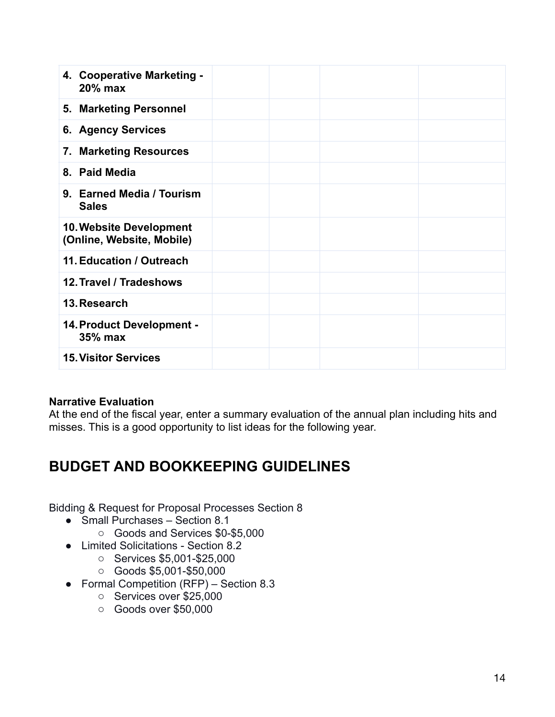| 4. Cooperative Marketing -<br>20% max                       |  |  |
|-------------------------------------------------------------|--|--|
| 5. Marketing Personnel                                      |  |  |
| <b>6. Agency Services</b>                                   |  |  |
| 7. Marketing Resources                                      |  |  |
| 8. Paid Media                                               |  |  |
| 9. Earned Media / Tourism<br><b>Sales</b>                   |  |  |
| <b>10. Website Development</b><br>(Online, Website, Mobile) |  |  |
| 11. Education / Outreach                                    |  |  |
| 12. Travel / Tradeshows                                     |  |  |
| 13. Research                                                |  |  |
| 14. Product Development -<br>35% max                        |  |  |
| <b>15. Visitor Services</b>                                 |  |  |

#### **Narrative Evaluation**

At the end of the fiscal year, enter a summary evaluation of the annual plan including hits and misses. This is a good opportunity to list ideas for the following year.

# **BUDGET AND BOOKKEEPING GUIDELINES**

Bidding & Request for Proposal Processes Section 8

- Small Purchases Section 8.1
	- o Goods and Services \$0-\$5,000
- Limited Solicitations Section 8.2
	- o Services \$5,001-\$25,000
	- o Goods \$5,001-\$50,000
- Formal Competition (RFP) Section 8.3
	- o Services over \$25,000
	- o Goods over \$50,000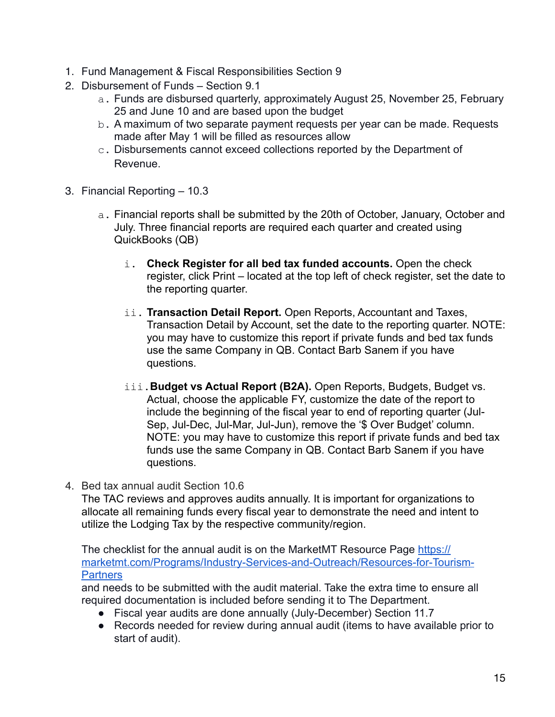- 1. Fund Management & Fiscal Responsibilities Section 9
- 2. Disbursement of Funds Section 9.1
	- a. Funds are disbursed quarterly, approximately August 25, November 25, February 25 and June 10 and are based upon the budget
	- b. A maximum of two separate payment requests per year can be made. Requests made after May 1 will be filled as resources allow
	- c. Disbursements cannot exceed collections reported by the Department of Revenue.
- 3. Financial Reporting 10.3
	- a. Financial reports shall be submitted by the 20th of October, January, October and July. Three financial reports are required each quarter and created using QuickBooks (QB)
		- i. **Check Register for all bed tax funded accounts.** Open the check register, click Print – located at the top left of check register, set the date to the reporting quarter.
		- ii. **Transaction Detail Report.** Open Reports, Accountant and Taxes, Transaction Detail by Account, set the date to the reporting quarter. NOTE: you may have to customize this report if private funds and bed tax funds use the same Company in QB. Contact Barb Sanem if you have questions.
		- iii. Budget vs Actual Report (B2A). Open Reports, Budgets, Budget vs. Actual, choose the applicable FY, customize the date of the report to include the beginning of the fiscal year to end of reporting quarter (Jul-Sep, Jul-Dec, Jul-Mar, Jul-Jun), remove the '\$ Over Budget' column. NOTE: you may have to customize this report if private funds and bed tax funds use the same Company in QB. Contact Barb Sanem if you have questions.
- 4. Bed tax annual audit Section 10.6

The TAC reviews and approves audits annually. It is important for organizations to allocate all remaining funds every fiscal year to demonstrate the need and intent to utilize the Lodging Tax by the respective community/region.

The checklist for the annual audit is on the MarketMT Resource Page [https://](https://marketmt.com/Programs/Industry-Services-and-Outreach/Resources-for-Tourism-Partners) [marketmt.com/Programs/Industry-Services-and-Outreach/Resources-for-Tourism-](https://marketmt.com/Programs/Industry-Services-and-Outreach/Resources-for-Tourism-Partners)**[Partners](https://marketmt.com/Programs/Industry-Services-and-Outreach/Resources-for-Tourism-Partners)** 

and needs to be submitted with the audit material. Take the extra time to ensure all required documentation is included before sending it to The Department.

- Fiscal year audits are done annually (July-December) Section 11.7
- Records needed for review during annual audit (items to have available prior to start of audit).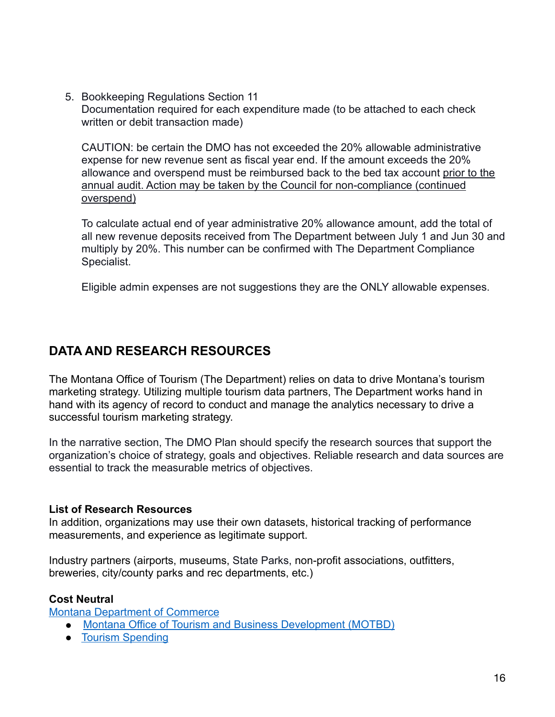5. Bookkeeping Regulations Section 11 Documentation required for each expenditure made (to be attached to each check written or debit transaction made)

CAUTION: be certain the DMO has not exceeded the 20% allowable administrative expense for new revenue sent as fiscal year end. If the amount exceeds the 20% allowance and overspend must be reimbursed back to the bed tax account prior to the annual audit. Action may be taken by the Council for non-compliance (continued overspend)

To calculate actual end of year administrative 20% allowance amount, add the total of all new revenue deposits received from The Department between July 1 and Jun 30 and multiply by 20%. This number can be confirmed with The Department Compliance Specialist.

Eligible admin expenses are not suggestions they are the ONLY allowable expenses.

## **DATA AND RESEARCH RESOURCES**

The Montana Office of Tourism (The Department) relies on data to drive Montana's tourism marketing strategy. Utilizing multiple tourism data partners, The Department works hand in hand with its agency of record to conduct and manage the analytics necessary to drive a successful tourism marketing strategy.

In the narrative section, The DMO Plan should specify the research sources that support the organization's choice of strategy, goals and objectives. Reliable research and data sources are essential to track the measurable metrics of objectives.

#### **List of Research Resources**

In addition, organizations may use their own datasets, historical tracking of performance measurements, and experience as legitimate support.

Industry partners (airports, museums, State Parks, non-profit associations, outfitters, breweries, city/county parks and rec departments, etc.)

#### **Cost Neutral**

[Montana Department of Commerce](https://commerce.mt.gov/)

- [Montana Office of Tourism and Business Development \(MOTBD\)](https://marketmt.com/Programs/Marketing/Tourism-Research/)
- [Tourism Spending](https://marketmt.com/Programs/Marketing/Tourism-Research/Tourism-Spending)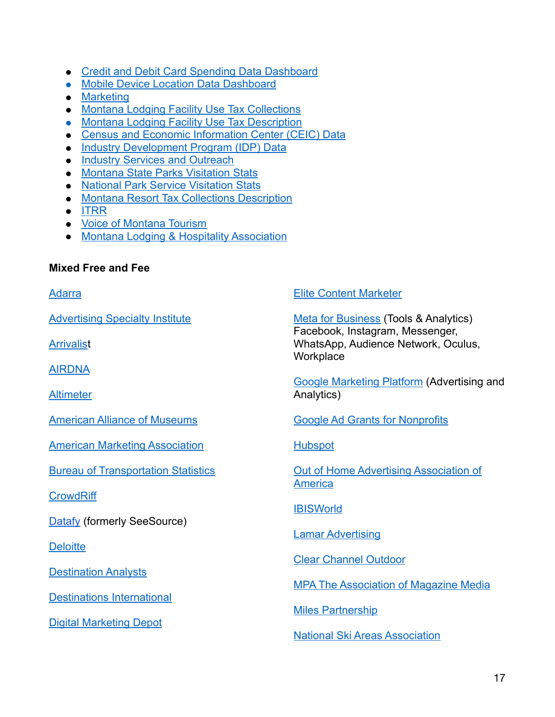- [Credit and Debit Card Spending Data Dashboard](https://marketmt.com/Programs/Marketing/Tourism-Research/Tourism-Spending)
- [Mobile Device Location Data Dashboard](https://marketmt.com/Programs/Marketing/Tourism-Research/Mobile-Device-Locations)
- [Marketing](https://marketmt.com/Programs/Marketing/)
- [Montana Lodging Facility Use Tax Collections](https://marketmt.com/Programs/Industry-Services-and-Outreach/Lodging-Facility-Use-Tax)
- [Montana Lodging Facility Use Tax Description](https://montana.servicenowservices.com/citizen/kb?id=kb_article_view&sysparm_article=KB0013531)
- [Census and Economic Information Center \(CEIC\) Data](https://ceic.mt.gov/)
- [Industry Development Program \(IDP\) Data](https://marketmt.com/Programs/Research-and-Information-Services/Industry-Development-Program/)
- [Industry Services and Outreach](https://marketmt.com/Programs/Industry-Services-and-Outreach/)
- [Montana State Parks Visitation Stats](https://fwp.mt.gov/aboutfwp/about-state-parks)
- [National Park Service Visitation Stats](https://www.nps.gov/aboutus/visitation-numbers.htm)
- [Montana Resort Tax Collections Description](https://mtrevenue.gov/taxes/miscellaneous-taxes-and-fees/local-resort-tax/)
- [ITRR](https://itrr.umt.edu/)
- [Voice of Montana Tourism](https://voicesoftourism.com/)
- [Montana Lodging & Hospitality Association](https://www.mtlha.com/)

#### **Mixed Free and Fee**

[Adarra](https://adara.com/)

[Advertising Specialty Institute](https://www.asicentral.com/research)

**[Arrivalist](https://www.arrivalist.com/)** 

[AIRDNA](https://www.airdna.co/)

**[Altimeter](https://www.prophet.com/altimeter/home/)** 

[American Alliance of Museums](https://www.aam-us.org/category/research-and-reports/)

[American Marketing Association](https://www.ama.org/)

[Bureau of Transportation Statistics](https://www.bts.gov/)

**[CrowdRiff](https://crowdriff.com/)** 

**[Datafy](https://datafyhq.com) (formerly SeeSource)** 

**[Deloitte](https://www2.deloitte.com/us/en/insights/focus/transportation.html)** 

**[Destination Analysts](https://www.destinationanalysts.com/insights-updates/)** 

[Destinations International](https://destinationsinternational.org/strategic-planning-tools)

[Digital Marketing Depot](https://digitalmarketingdepot.com/)

[Elite Content Marketer](https://elitecontentmarketer.com/)

[Meta for Business](https://www.facebook.com/business) (Tools & Analytics) Facebook, Instagram, Messenger, WhatsApp, Audience Network, Oculus, **Workplace** 

[Google Marketing Platform](https://marketingplatform.google.com/about/) (Advertising and Analytics)

[Google Ad Grants for Nonprofits](https://www.google.com/grants/)

[Hubspot](https://blog.hubspot.com/)

[Out of Home Advertising Association of](https://oaaa.org/)  **[America](https://oaaa.org/)** 

**[IBISWorld](https://my.ibisworld.com/search/?q=billboard)** 

[Lamar Advertising](https://www.lamar.com/)

[Clear Channel Outdoor](https://clearchanneloutdoor.com/)

[MPA The Association of Magazine Media](https://www.magazine.org/)

[Miles Partnership](https://www.milespartnership.com/state-american-traveler)

[National Ski Areas Association](https://www.nsaa.org/)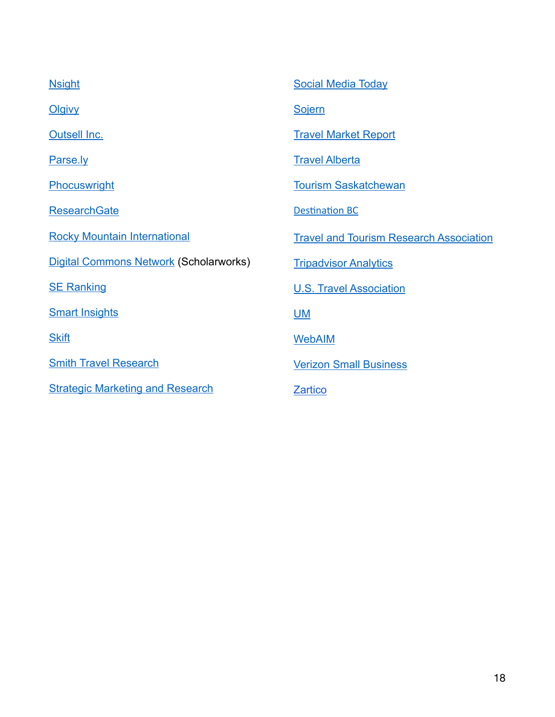| <b>Nsight</b>                                 | <b>Social Media Today</b>                      |
|-----------------------------------------------|------------------------------------------------|
| <b>Olgivy</b>                                 | <b>Sojern</b>                                  |
| <b>Outsell Inc.</b>                           | <b>Travel Market Report</b>                    |
| Parse.ly                                      | <b>Travel Alberta</b>                          |
| Phocuswright                                  | <b>Tourism Saskatchewan</b>                    |
| <b>ResearchGate</b>                           | <b>Destination BC</b>                          |
| <b>Rocky Mountain International</b>           | <b>Travel and Tourism Research Association</b> |
| <b>Digital Commons Network (Scholarworks)</b> | <b>Tripadvisor Analytics</b>                   |
| <b>SE Ranking</b>                             | <b>U.S. Travel Association</b>                 |
| <b>Smart Insights</b>                         | <b>UM</b>                                      |
| <b>Skift</b>                                  | <b>WebAIM</b>                                  |
| <b>Smith Travel Research</b>                  | <b>Verizon Small Business</b>                  |
| <b>Strategic Marketing and Research</b>       | <b>Zartico</b>                                 |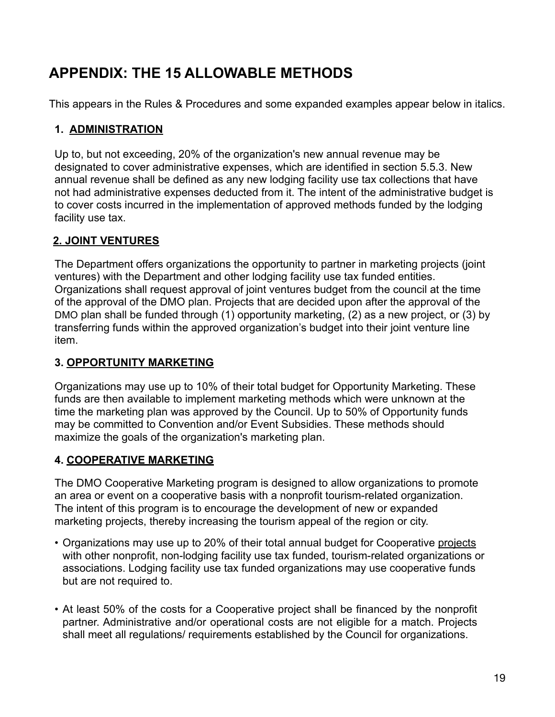# **APPENDIX: THE 15 ALLOWABLE METHODS**

This appears in the Rules & Procedures and some expanded examples appear below in italics.

#### **1. ADMINISTRATION**

Up to, but not exceeding, 20% of the organization's new annual revenue may be designated to cover administrative expenses, which are identified in section 5.5.3. New annual revenue shall be defined as any new lodging facility use tax collections that have not had administrative expenses deducted from it. The intent of the administrative budget is to cover costs incurred in the implementation of approved methods funded by the lodging facility use tax.

#### **2. JOINT VENTURES**

The Department offers organizations the opportunity to partner in marketing projects (joint ventures) with the Department and other lodging facility use tax funded entities. Organizations shall request approval of joint ventures budget from the council at the time of the approval of the DMO plan. Projects that are decided upon after the approval of the DMO plan shall be funded through (1) opportunity marketing, (2) as a new project, or (3) by transferring funds within the approved organization's budget into their joint venture line item.

#### **3. OPPORTUNITY MARKETING**

Organizations may use up to 10% of their total budget for Opportunity Marketing. These funds are then available to implement marketing methods which were unknown at the time the marketing plan was approved by the Council. Up to 50% of Opportunity funds may be committed to Convention and/or Event Subsidies. These methods should maximize the goals of the organization's marketing plan.

#### **4. COOPERATIVE MARKETING**

The DMO Cooperative Marketing program is designed to allow organizations to promote an area or event on a cooperative basis with a nonprofit tourism-related organization. The intent of this program is to encourage the development of new or expanded marketing projects, thereby increasing the tourism appeal of the region or city.

- Organizations may use up to 20% of their total annual budget for Cooperative projects with other nonprofit, non-lodging facility use tax funded, tourism-related organizations or associations. Lodging facility use tax funded organizations may use cooperative funds but are not required to.
- At least 50% of the costs for a Cooperative project shall be financed by the nonprofit partner. Administrative and/or operational costs are not eligible for a match. Projects shall meet all regulations/ requirements established by the Council for organizations.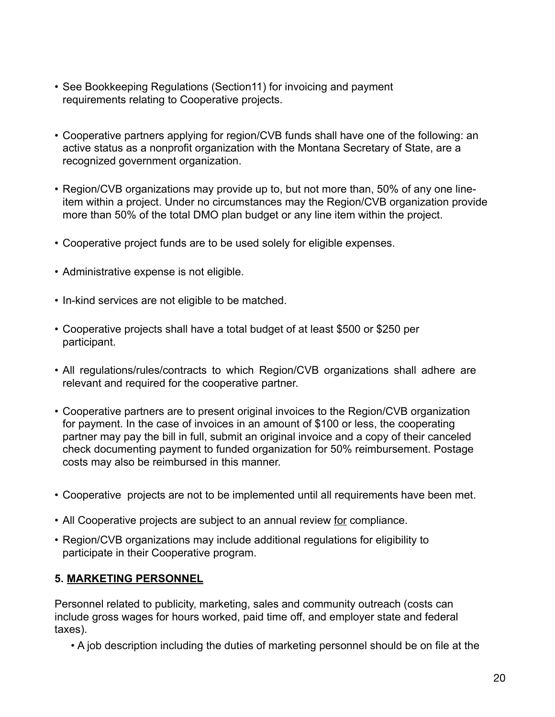- See Bookkeeping Regulations (Section11) for invoicing and payment requirements relating to Cooperative projects.
- Cooperative partners applying for region/CVB funds shall have one of the following: an active status as a nonprofit organization with the Montana Secretary of State, are a recognized government organization.
- Region/CVB organizations may provide up to, but not more than, 50% of any one lineitem within a project. Under no circumstances may the Region/CVB organization provide more than 50% of the total DMO plan budget or any line item within the project.
- Cooperative project funds are to be used solely for eligible expenses.
- Administrative expense is not eligible.
- In-kind services are not eligible to be matched.
- Cooperative projects shall have a total budget of at least \$500 or \$250 per participant.
- All regulations/rules/contracts to which Region/CVB organizations shall adhere are relevant and required for the cooperative partner.
- Cooperative partners are to present original invoices to the Region/CVB organization for payment. In the case of invoices in an amount of \$100 or less, the cooperating partner may pay the bill in full, submit an original invoice and a copy of their canceled check documenting payment to funded organization for 50% reimbursement. Postage costs may also be reimbursed in this manner.
- Cooperative projects are not to be implemented until all requirements have been met.
- All Cooperative projects are subject to an annual review for compliance.
- Region/CVB organizations may include additional regulations for eligibility to participate in their Cooperative program.

#### **5. MARKETING PERSONNEL**

Personnel related to publicity, marketing, sales and community outreach (costs can include gross wages for hours worked, paid time off, and employer state and federal taxes).

• A job description including the duties of marketing personnel should be on file at the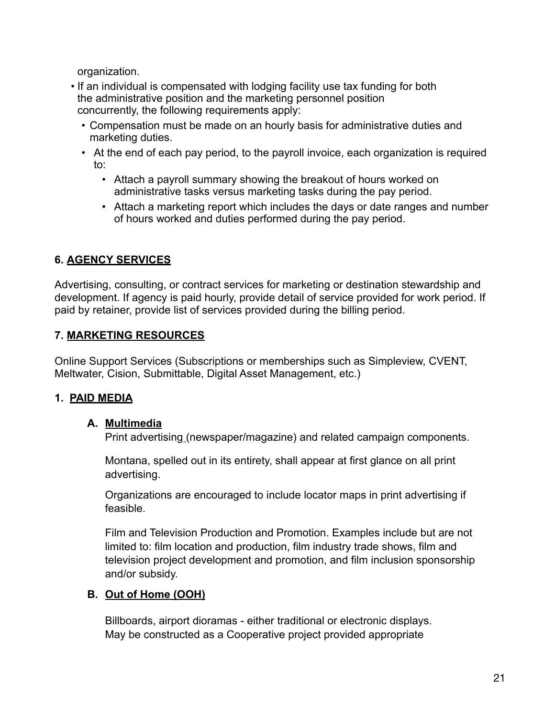organization.

- If an individual is compensated with lodging facility use tax funding for both the administrative position and the marketing personnel position concurrently, the following requirements apply:
	- Compensation must be made on an hourly basis for administrative duties and marketing duties.
	- At the end of each pay period, to the payroll invoice, each organization is required to:
		- Attach a payroll summary showing the breakout of hours worked on administrative tasks versus marketing tasks during the pay period.
		- Attach a marketing report which includes the days or date ranges and number of hours worked and duties performed during the pay period.

### **6. AGENCY SERVICES**

Advertising, consulting, or contract services for marketing or destination stewardship and development. If agency is paid hourly, provide detail of service provided for work period. If paid by retainer, provide list of services provided during the billing period.

### **7. MARKETING RESOURCES**

Online Support Services (Subscriptions or memberships such as Simpleview, CVENT, Meltwater, Cision, Submittable, Digital Asset Management, etc.)

### **1. PAID MEDIA**

#### **A. Multimedia**

Print advertising (newspaper/magazine) and related campaign components.

Montana, spelled out in its entirety, shall appear at first glance on all print advertising.

Organizations are encouraged to include locator maps in print advertising if feasible.

Film and Television Production and Promotion. Examples include but are not limited to: film location and production, film industry trade shows, film and television project development and promotion, and film inclusion sponsorship and/or subsidy.

### **B. Out of Home (OOH)**

Billboards, airport dioramas - either traditional or electronic displays. May be constructed as a Cooperative project provided appropriate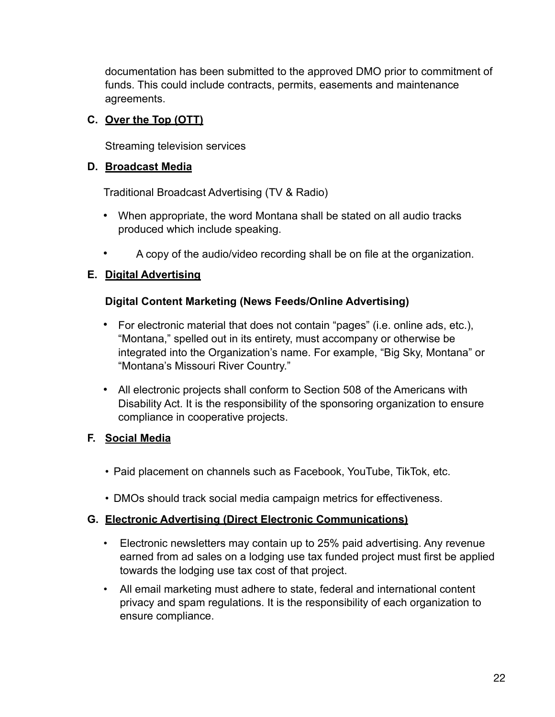documentation has been submitted to the approved DMO prior to commitment of funds. This could include contracts, permits, easements and maintenance agreements.

#### **C. Over the Top (OTT)**

Streaming television services

#### **D. Broadcast Media**

Traditional Broadcast Advertising (TV & Radio)

- **•** When appropriate, the word Montana shall be stated on all audio tracks produced which include speaking.
- **•** A copy of the audio/video recording shall be on file at the organization.

#### **E. Digital Advertising**

#### **Digital Content Marketing (News Feeds/Online Advertising)**

- **•** For electronic material that does not contain "pages" (i.e. online ads, etc.), "Montana," spelled out in its entirety, must accompany or otherwise be integrated into the Organization's name. For example, "Big Sky, Montana" or "Montana's Missouri River Country."
- **•** All electronic projects shall conform to Section 508 of the Americans with Disability Act. It is the responsibility of the sponsoring organization to ensure compliance in cooperative projects.

#### **F. Social Media**

- Paid placement on channels such as Facebook, YouTube, TikTok, etc.
- DMOs should track social media campaign metrics for effectiveness.

#### **G. Electronic Advertising (Direct Electronic Communications)**

- Electronic newsletters may contain up to 25% paid advertising. Any revenue earned from ad sales on a lodging use tax funded project must first be applied towards the lodging use tax cost of that project.
- All email marketing must adhere to state, federal and international content privacy and spam regulations. It is the responsibility of each organization to ensure compliance.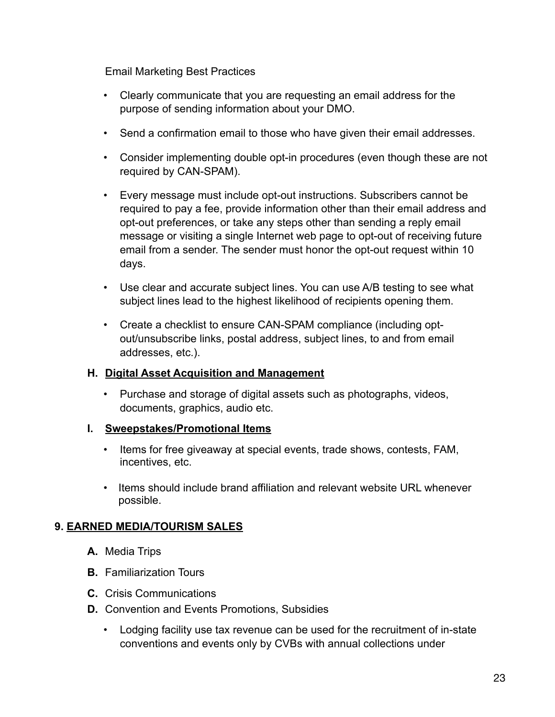Email Marketing Best Practices

- Clearly communicate that you are requesting an email address for the purpose of sending information about your DMO.
- Send a confirmation email to those who have given their email addresses.
- Consider implementing double opt-in procedures (even though these are not required by CAN-SPAM).
- Every message must include opt-out instructions. Subscribers cannot be required to pay a fee, provide information other than their email address and opt-out preferences, or take any steps other than sending a reply email message or visiting a single Internet web page to opt-out of receiving future email from a sender. The sender must honor the opt-out request within 10 days.
- Use clear and accurate subject lines. You can use A/B testing to see what subject lines lead to the highest likelihood of recipients opening them.
- Create a checklist to ensure CAN-SPAM compliance (including optout/unsubscribe links, postal address, subject lines, to and from email addresses, etc.).

#### **H. Digital Asset Acquisition and Management**

• Purchase and storage of digital assets such as photographs, videos, documents, graphics, audio etc.

#### **I. Sweepstakes/Promotional Items**

- Items for free giveaway at special events, trade shows, contests, FAM, incentives, etc.
- Items should include brand affiliation and relevant website URL whenever possible.

## **9. EARNED MEDIA/TOURISM SALES**

- **A.** Media Trips
- **B.** Familiarization Tours
- **C.** Crisis Communications
- **D.** Convention and Events Promotions, Subsidies
	- Lodging facility use tax revenue can be used for the recruitment of in-state conventions and events only by CVBs with annual collections under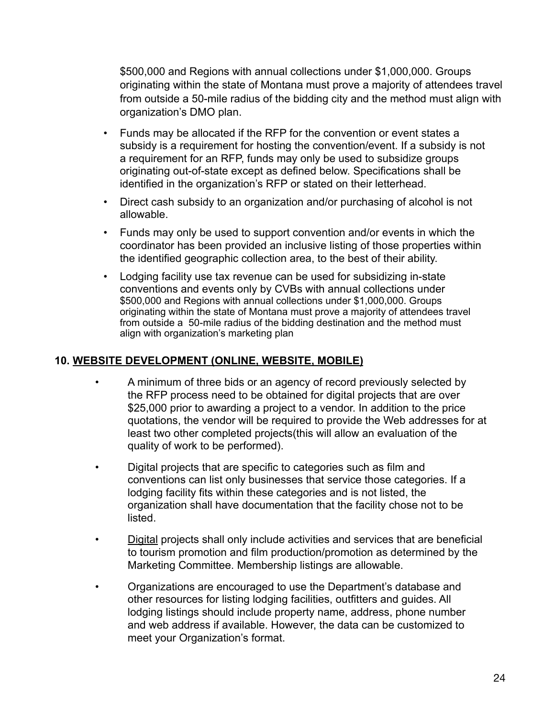\$500,000 and Regions with annual collections under \$1,000,000. Groups originating within the state of Montana must prove a majority of attendees travel from outside a 50-mile radius of the bidding city and the method must align with organization's DMO plan.

- Funds may be allocated if the RFP for the convention or event states a subsidy is a requirement for hosting the convention/event. If a subsidy is not a requirement for an RFP, funds may only be used to subsidize groups originating out-of-state except as defined below. Specifications shall be identified in the organization's RFP or stated on their letterhead.
- Direct cash subsidy to an organization and/or purchasing of alcohol is not allowable.
- Funds may only be used to support convention and/or events in which the coordinator has been provided an inclusive listing of those properties within the identified geographic collection area, to the best of their ability.
- Lodging facility use tax revenue can be used for subsidizing in-state conventions and events only by CVBs with annual collections under \$500,000 and Regions with annual collections under \$1,000,000. Groups originating within the state of Montana must prove a majority of attendees travel from outside a 50-mile radius of the bidding destination and the method must align with organization's marketing plan

#### **10. WEBSITE DEVELOPMENT (ONLINE, WEBSITE, MOBILE)**

- A minimum of three bids or an agency of record previously selected by the RFP process need to be obtained for digital projects that are over \$25,000 prior to awarding a project to a vendor. In addition to the price quotations, the vendor will be required to provide the Web addresses for at least two other completed projects(this will allow an evaluation of the quality of work to be performed).
- Digital projects that are specific to categories such as film and conventions can list only businesses that service those categories. If a lodging facility fits within these categories and is not listed, the organization shall have documentation that the facility chose not to be listed.
- Digital projects shall only include activities and services that are beneficial to tourism promotion and film production/promotion as determined by the Marketing Committee. Membership listings are allowable.
- Organizations are encouraged to use the Department's database and other resources for listing lodging facilities, outfitters and guides. All lodging listings should include property name, address, phone number and web address if available. However, the data can be customized to meet your Organization's format.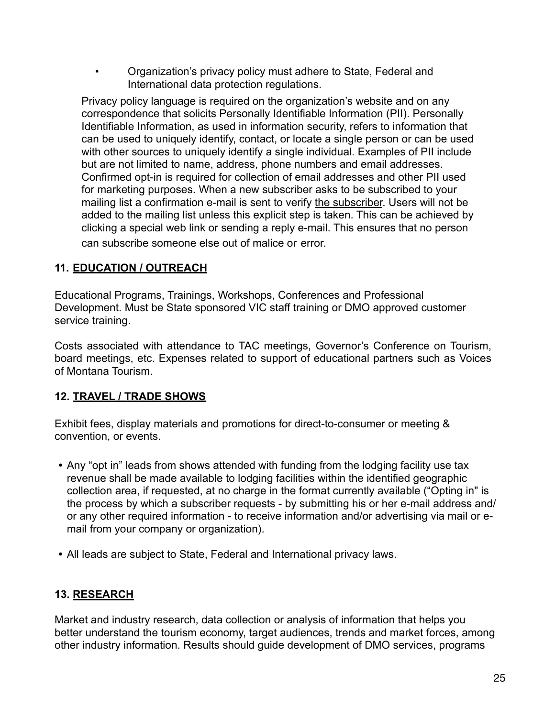• Organization's privacy policy must adhere to State, Federal and International data protection regulations.

Privacy policy language is required on the organization's website and on any correspondence that solicits Personally Identifiable Information (PII). Personally Identifiable Information, as used in information security, refers to information that can be used to uniquely identify, contact, or locate a single person or can be used with other sources to uniquely identify a single individual. Examples of PII include but are not limited to name, address, phone numbers and email addresses. Confirmed opt-in is required for collection of email addresses and other PII used for marketing purposes. When a new subscriber asks to be subscribed to your mailing list a confirmation e-mail is sent to verify the subscriber. Users will not be added to the mailing list unless this explicit step is taken. This can be achieved by clicking a special web link or sending a reply e-mail. This ensures that no person can subscribe someone else out of malice or error.

#### **11. EDUCATION / OUTREACH**

Educational Programs, Trainings, Workshops, Conferences and Professional Development. Must be State sponsored VIC staff training or DMO approved customer service training.

Costs associated with attendance to TAC meetings, Governor's Conference on Tourism, board meetings, etc. Expenses related to support of educational partners such as Voices of Montana Tourism.

### **12. TRAVEL / TRADE SHOWS**

Exhibit fees, display materials and promotions for direct-to-consumer or meeting & convention, or events.

- **•** Any "opt in" leads from shows attended with funding from the lodging facility use tax revenue shall be made available to lodging facilities within the identified geographic collection area, if requested, at no charge in the format currently available ("Opting in" is the process by which a subscriber requests - by submitting his or her e-mail address and/ or any other required information - to receive information and/or advertising via mail or email from your company or organization).
- **•** All leads are subject to State, Federal and International privacy laws.

### **13. RESEARCH**

Market and industry research, data collection or analysis of information that helps you better understand the tourism economy, target audiences, trends and market forces, among other industry information. Results should guide development of DMO services, programs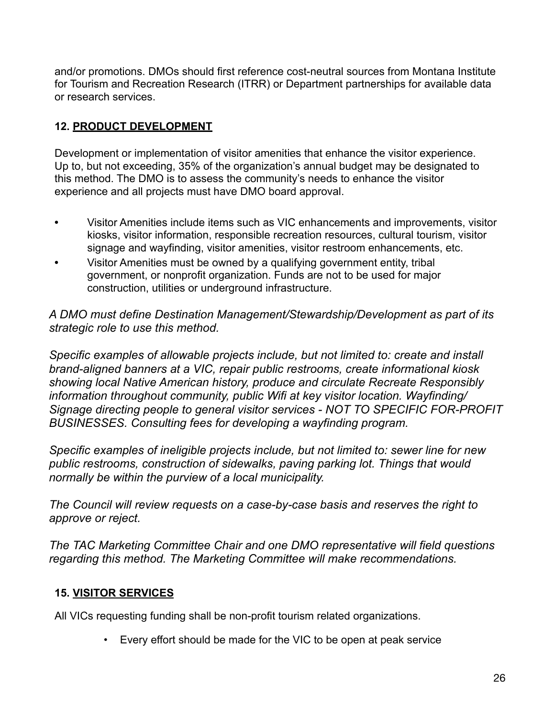and/or promotions. DMOs should first reference cost-neutral sources from Montana Institute for Tourism and Recreation Research (ITRR) or Department partnerships for available data or research services.

## **12. PRODUCT DEVELOPMENT**

Development or implementation of visitor amenities that enhance the visitor experience. Up to, but not exceeding, 35% of the organization's annual budget may be designated to this method. The DMO is to assess the community's needs to enhance the visitor experience and all projects must have DMO board approval.

- **•** Visitor Amenities include items such as VIC enhancements and improvements, visitor kiosks, visitor information, responsible recreation resources, cultural tourism, visitor signage and wayfinding, visitor amenities, visitor restroom enhancements, etc.
- **•** Visitor Amenities must be owned by a qualifying government entity, tribal government, or nonprofit organization. Funds are not to be used for major construction, utilities or underground infrastructure.

*A DMO must define Destination Management/Stewardship/Development as part of its strategic role to use this method.* 

*Specific examples of allowable projects include, but not limited to: create and install brand-aligned banners at a VIC, repair public restrooms, create informational kiosk showing local Native American history, produce and circulate Recreate Responsibly information throughout community, public Wifi at key visitor location. Wayfinding/ Signage directing people to general visitor services - NOT TO SPECIFIC FOR-PROFIT BUSINESSES. Consulting fees for developing a wayfinding program.*

*Specific examples of ineligible projects include, but not limited to: sewer line for new public restrooms, construction of sidewalks, paving parking lot. Things that would normally be within the purview of a local municipality.*

*The Council will review requests on a case-by-case basis and reserves the right to approve or reject.* 

*The TAC Marketing Committee Chair and one DMO representative will field questions regarding this method. The Marketing Committee will make recommendations.*

## **15. VISITOR SERVICES**

All VICs requesting funding shall be non-profit tourism related organizations.

• Every effort should be made for the VIC to be open at peak service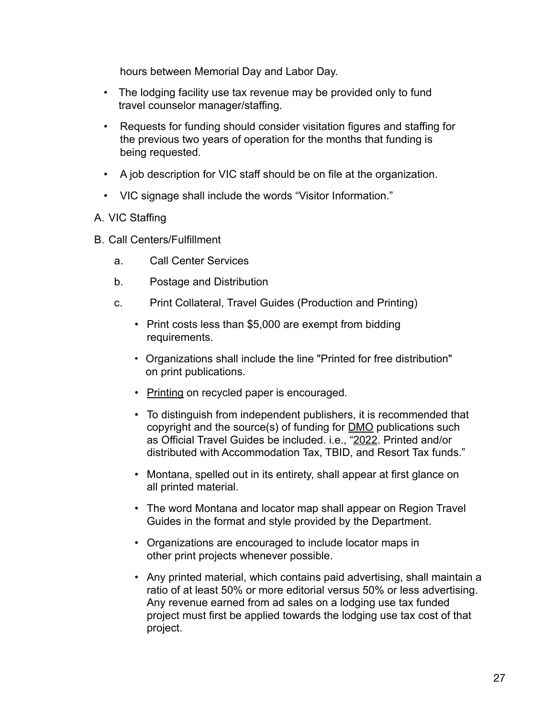hours between Memorial Day and Labor Day.

- The lodging facility use tax revenue may be provided only to fund travel counselor manager/staffing.
- Requests for funding should consider visitation figures and staffing for the previous two years of operation for the months that funding is being requested.
- A job description for VIC staff should be on file at the organization.
- VIC signage shall include the words "Visitor Information."
- A. VIC Staffing
- B. Call Centers/Fulfillment
	- a. Call Center Services
	- b. Postage and Distribution
	- c. Print Collateral, Travel Guides (Production and Printing)
		- Print costs less than \$5,000 are exempt from bidding requirements.
		- Organizations shall include the line "Printed for free distribution" on print publications.
		- Printing on recycled paper is encouraged.
		- To distinguish from independent publishers, it is recommended that copyright and the source(s) of funding for DMO publications such as Official Travel Guides be included. i.e., "2022. Printed and/or distributed with Accommodation Tax, TBID, and Resort Tax funds."
		- Montana, spelled out in its entirety, shall appear at first glance on all printed material.
		- The word Montana and locator map shall appear on Region Travel Guides in the format and style provided by the Department.
		- Organizations are encouraged to include locator maps in other print projects whenever possible.
		- Any printed material, which contains paid advertising, shall maintain a ratio of at least 50% or more editorial versus 50% or less advertising. Any revenue earned from ad sales on a lodging use tax funded project must first be applied towards the lodging use tax cost of that project.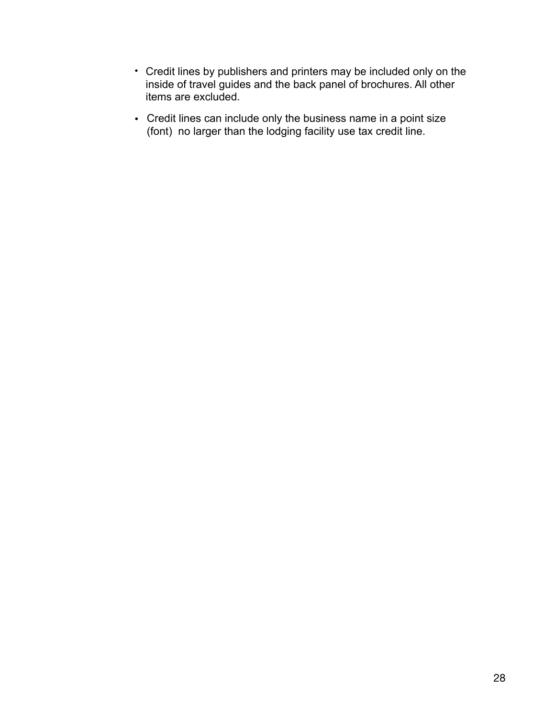- Credit lines by publishers and printers may be included only on the inside of travel guides and the back panel of brochures. All other items are excluded.
- Credit lines can include only the business name in a point size (font) no larger than the lodging facility use tax credit line.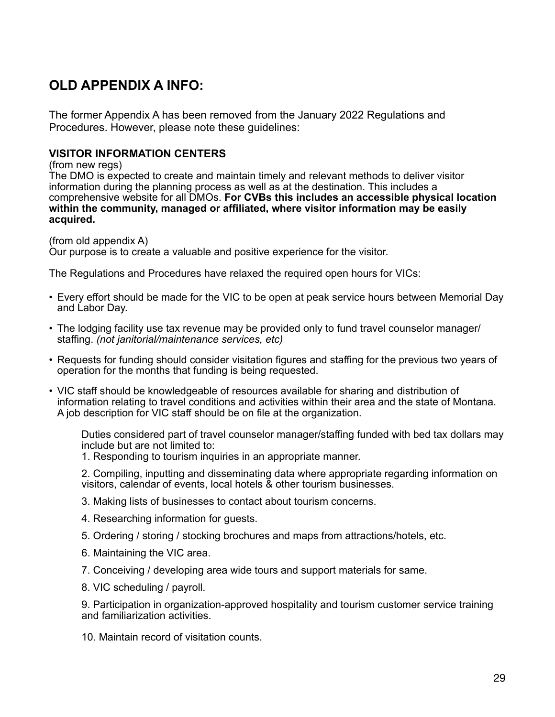## **OLD APPENDIX A INFO:**

The former Appendix A has been removed from the January 2022 Regulations and Procedures. However, please note these guidelines:

#### **VISITOR INFORMATION CENTERS**

(from new regs)

The DMO is expected to create and maintain timely and relevant methods to deliver visitor information during the planning process as well as at the destination. This includes a comprehensive website for all DMOs. **For CVBs this includes an accessible physical location within the community, managed or affiliated, where visitor information may be easily acquired.** 

(from old appendix A)

Our purpose is to create a valuable and positive experience for the visitor.

The Regulations and Procedures have relaxed the required open hours for VICs:

- Every effort should be made for the VIC to be open at peak service hours between Memorial Day and Labor Day.
- The lodging facility use tax revenue may be provided only to fund travel counselor manager/ staffing. *(not janitorial/maintenance services, etc)*
- Requests for funding should consider visitation figures and staffing for the previous two years of operation for the months that funding is being requested.
- VIC staff should be knowledgeable of resources available for sharing and distribution of information relating to travel conditions and activities within their area and the state of Montana. A job description for VIC staff should be on file at the organization.

Duties considered part of travel counselor manager/staffing funded with bed tax dollars may include but are not limited to:

1. Responding to tourism inquiries in an appropriate manner.

2. Compiling, inputting and disseminating data where appropriate regarding information on visitors, calendar of events, local hotels & other tourism businesses.

- 3. Making lists of businesses to contact about tourism concerns.
- 4. Researching information for guests.
- 5. Ordering / storing / stocking brochures and maps from attractions/hotels, etc.
- 6. Maintaining the VIC area.
- 7. Conceiving / developing area wide tours and support materials for same.
- 8. VIC scheduling / payroll.

9. Participation in organization-approved hospitality and tourism customer service training and familiarization activities.

10. Maintain record of visitation counts.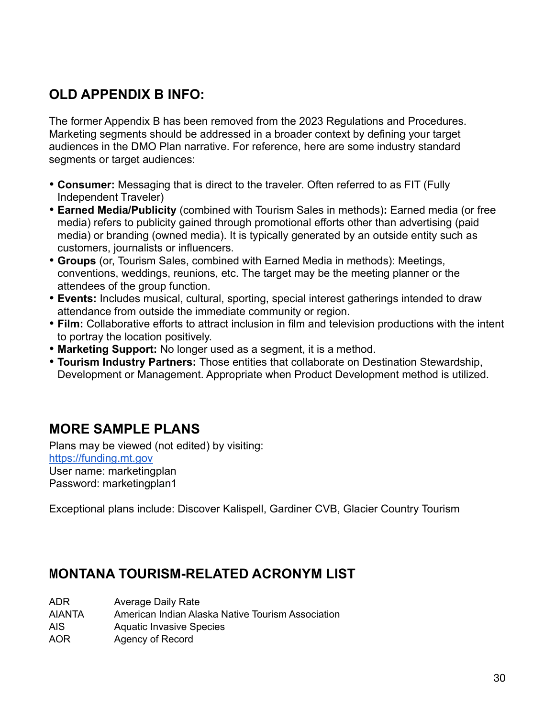# **OLD APPENDIX B INFO:**

The former Appendix B has been removed from the 2023 Regulations and Procedures. Marketing segments should be addressed in a broader context by defining your target audiences in the DMO Plan narrative. For reference, here are some industry standard segments or target audiences:

- **Consumer:** Messaging that is direct to the traveler. Often referred to as FIT (Fully Independent Traveler)
- **Earned Media/Publicity** (combined with Tourism Sales in methods)**:** Earned media (or free media) refers to publicity gained through promotional efforts other than advertising [\(paid](https://en.wikipedia.org/wiki/Advertising)  [media](https://en.wikipedia.org/wiki/Advertising)) or branding (owned media). It is typically generated by an outside entity such as customers, journalists or influencers.
- **Groups** (or, Tourism Sales, combined with Earned Media in methods): Meetings, conventions, weddings, reunions, etc. The target may be the meeting planner or the attendees of the group function.
- **Events:** Includes musical, cultural, sporting, special interest gatherings intended to draw attendance from outside the immediate community or region.
- **Film:** Collaborative efforts to attract inclusion in film and television productions with the intent to portray the location positively.
- **Marketing Support:** No longer used as a segment, it is a method.
- **Tourism Industry Partners:** Those entities that collaborate on Destination Stewardship, Development or Management. Appropriate when Product Development method is utilized.

# **MORE SAMPLE PLANS**

Plans may be viewed (not edited) by visiting: <https://funding.mt.gov> User name: marketingplan Password: marketingplan1

Exceptional plans include: Discover Kalispell, Gardiner CVB, Glacier Country Tourism

## **MONTANA TOURISM-RELATED ACRONYM LIST**

ADR Average Daily Rate

AIANTA American Indian Alaska Native Tourism Association

- AIS Aquatic Invasive Species
- AOR Agency of Record